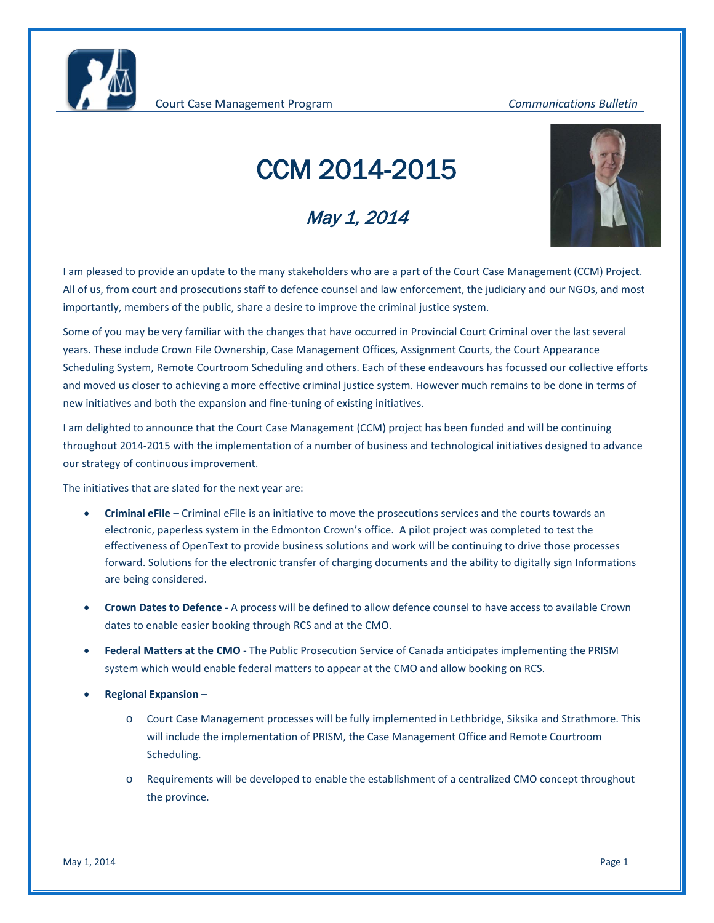## CCM 2014-2015

## May 1, 2014



I am pleased to provide an update to the many stakeholders who are a part of the Court Case Management (CCM) Project. All of us, from court and prosecutions staff to defence counsel and law enforcement, the judiciary and our NGOs, and most importantly, members of the public, share a desire to improve the criminal justice system.

Some of you may be very familiar with the changes that have occurred in Provincial Court Criminal over the last several years. These include Crown File Ownership, Case Management Offices, Assignment Courts, the Court Appearance Scheduling System, Remote Courtroom Scheduling and others. Each of these endeavours has focussed our collective efforts and moved us closer to achieving a more effective criminal justice system. However much remains to be done in terms of new initiatives and both the expansion and fine-tuning of existing initiatives.

I am delighted to announce that the Court Case Management (CCM) project has been funded and will be continuing throughout 2014-2015 with the implementation of a number of business and technological initiatives designed to advance our strategy of continuous improvement.

The initiatives that are slated for the next year are:

- **Criminal eFile** Criminal eFile is an initiative to move the prosecutions services and the courts towards an electronic, paperless system in the Edmonton Crown's office. A pilot project was completed to test the effectiveness of OpenText to provide business solutions and work will be continuing to drive those processes forward. Solutions for the electronic transfer of charging documents and the ability to digitally sign Informations are being considered.
- **Crown Dates to Defence** A process will be defined to allow defence counsel to have access to available Crown dates to enable easier booking through RCS and at the CMO.
- **Federal Matters at the CMO** The Public Prosecution Service of Canada anticipates implementing the PRISM system which would enable federal matters to appear at the CMO and allow booking on RCS.
- **Regional Expansion**
	- o Court Case Management processes will be fully implemented in Lethbridge, Siksika and Strathmore. This will include the implementation of PRISM, the Case Management Office and Remote Courtroom Scheduling.
	- o Requirements will be developed to enable the establishment of a centralized CMO concept throughout the province.